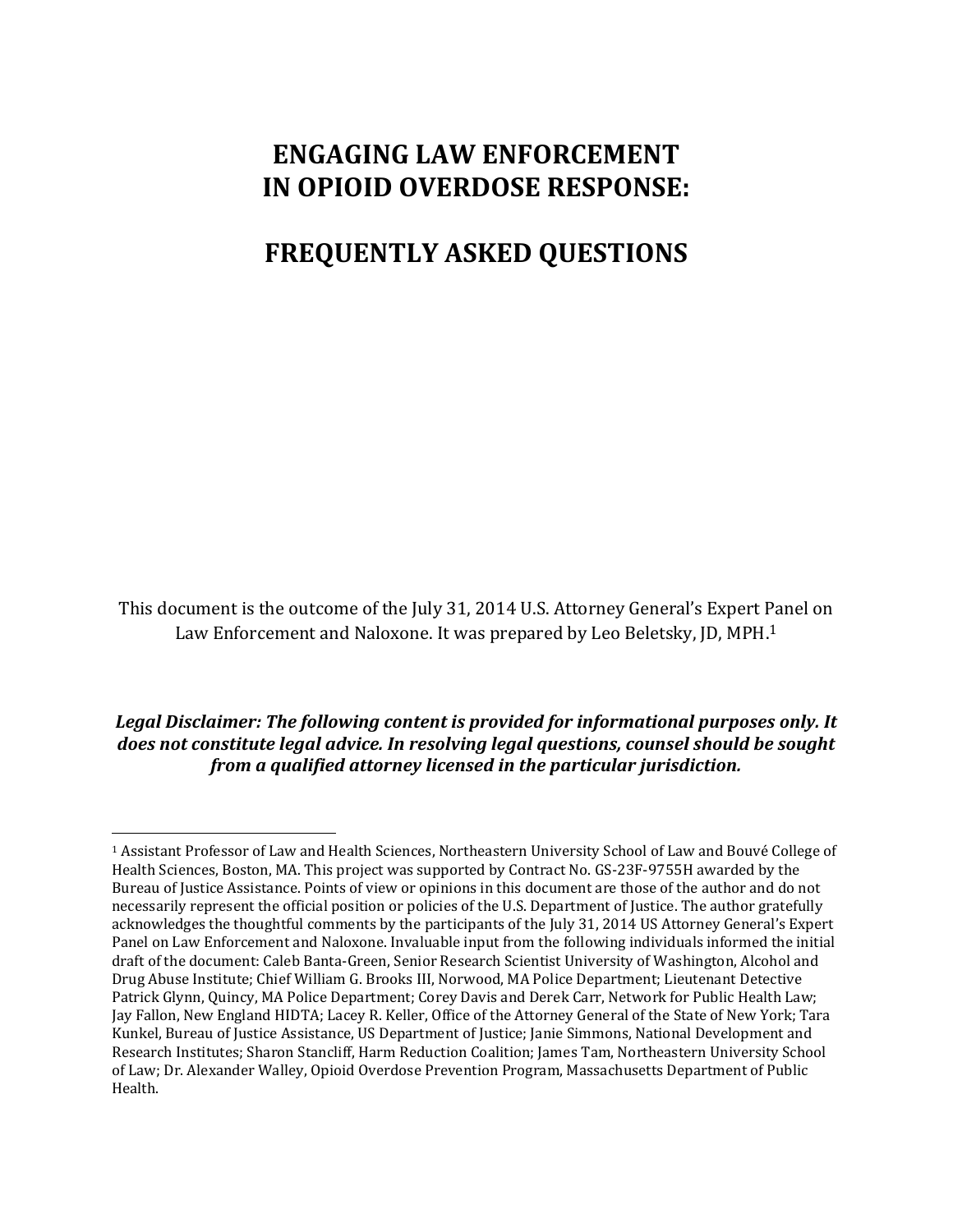# **ENGAGING LAW ENFORCEMENT IN OPIOID OVERDOSE RESPONSE:**

# **FREQUENTLY ASKED QUESTIONS**

This document is the outcome of the July 31, 2014 U.S. Attorney General's Expert Panel on Law Enforcement and Naloxone. It was prepared by Leo Beletsky, JD, MPH.<sup>1</sup>

*Legal Disclaimer: The following content is provided for informational purposes only. It does not constitute legal advice. In resolving legal questions, counsel should be sought from a qualified attorney licensed in the particular jurisdiction.*

<sup>1</sup> Assistant Professor of Law and Health Sciences, Northeastern University School of Law and Bouvé College of Health Sciences, Boston, MA. This project was supported by Contract No. GS-23F-9755H awarded by the Bureau of Justice Assistance. Points of view or opinions in this document are those of the author and do not necessarily represent the official position or policies of the U.S. Department of Justice. The author gratefully acknowledges the thoughtful comments by the participants of the July 31, 2014 US Attorney General's Expert Panel on Law Enforcement and Naloxone. Invaluable input from the following individuals informed the initial draft of the document: Caleb Banta-Green, Senior Research Scientist University of Washington, Alcohol and Drug Abuse Institute; Chief William G. Brooks III, Norwood, MA Police Department; Lieutenant Detective Patrick Glynn, Quincy, MA Police Department; Corey Davis and Derek Carr, Network for Public Health Law; Jay Fallon, New England HIDTA; Lacey R. Keller, Office of the Attorney General of the State of New York; Tara Kunkel, Bureau of Justice Assistance, US Department of Justice; Janie Simmons, National Development and Research Institutes; Sharon Stancliff, Harm Reduction Coalition; James Tam, Northeastern University School of Law; Dr. Alexander Walley, Opioid Overdose Prevention Program, Massachusetts Department of Public Health.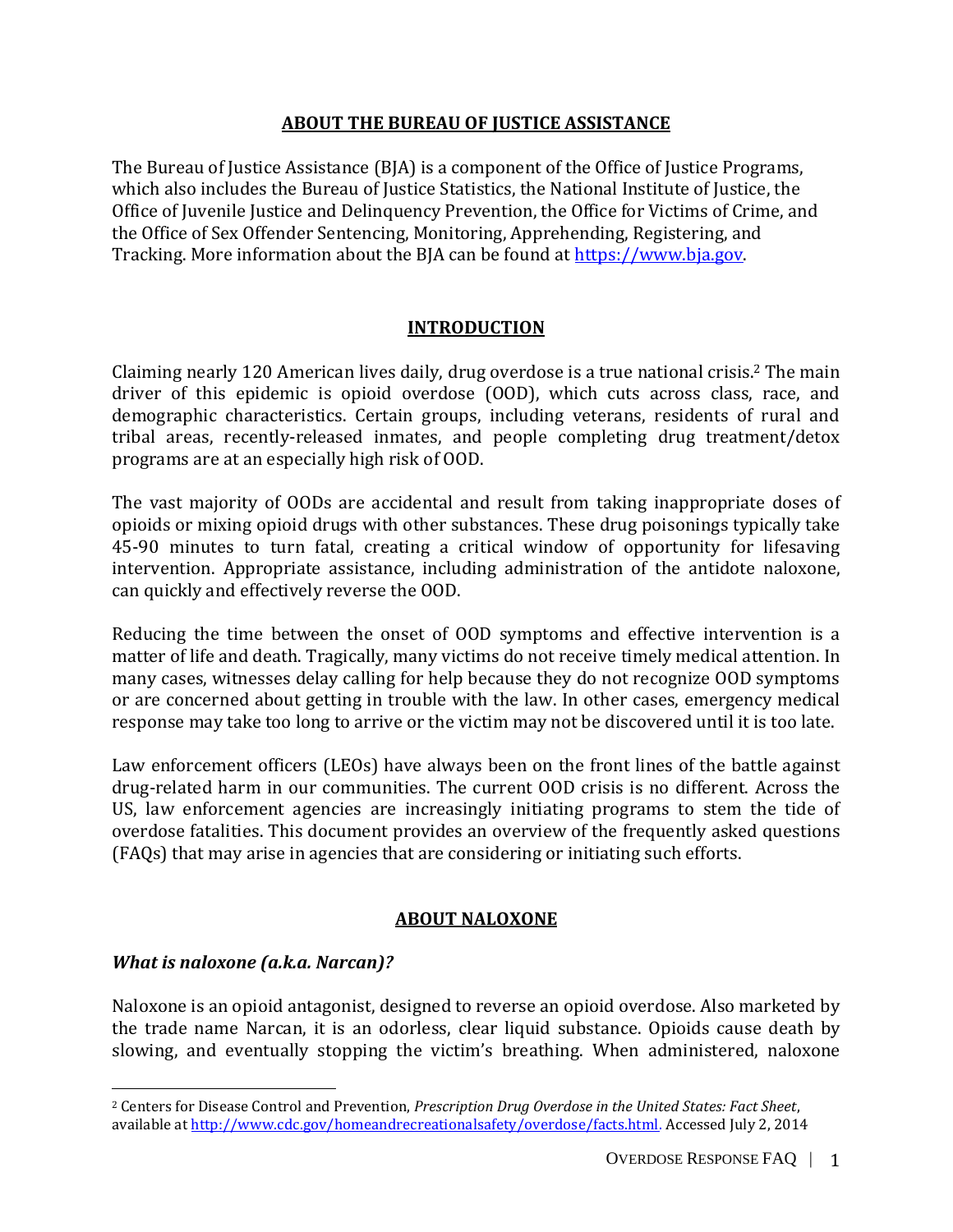## **ABOUT THE BUREAU OF JUSTICE ASSISTANCE**

The Bureau of Justice Assistance (BJA) is a component of the Office of Justice Programs, which also includes the Bureau of Justice Statistics, the National Institute of Justice, the Office of Juvenile Justice and Delinquency Prevention, the Office for Victims of Crime, and the Office of Sex Offender Sentencing, Monitoring, Apprehending, Registering, and Tracking. More information about the BJA can be found at [https://www.bja.gov.](https://www.bja.gov/)

## **INTRODUCTION**

Claiming nearly 120 American lives daily, drug overdose is a true national crisis. <sup>2</sup> The main driver of this epidemic is opioid overdose (OOD), which cuts across class, race, and demographic characteristics. Certain groups, including veterans, residents of rural and tribal areas, recently-released inmates, and people completing drug treatment/detox programs are at an especially high risk of OOD.

The vast majority of OODs are accidental and result from taking inappropriate doses of opioids or mixing opioid drugs with other substances. These drug poisonings typically take 45-90 minutes to turn fatal, creating a critical window of opportunity for lifesaving intervention. Appropriate assistance, including administration of the antidote naloxone, can quickly and effectively reverse the OOD.

Reducing the time between the onset of OOD symptoms and effective intervention is a matter of life and death. Tragically, many victims do not receive timely medical attention. In many cases, witnesses delay calling for help because they do not recognize OOD symptoms or are concerned about getting in trouble with the law. In other cases, emergency medical response may take too long to arrive or the victim may not be discovered until it is too late.

Law enforcement officers (LEOs) have always been on the front lines of the battle against drug-related harm in our communities. The current OOD crisis is no different. Across the US, law enforcement agencies are increasingly initiating programs to stem the tide of overdose fatalities. This document provides an overview of the frequently asked questions (FAQs) that may arise in agencies that are considering or initiating such efforts.

## **ABOUT NALOXONE**

## *What is naloxone (a.k.a. Narcan)?*

 $\overline{a}$ 

Naloxone is an opioid antagonist, designed to reverse an opioid overdose. Also marketed by the trade name Narcan, it is an odorless, clear liquid substance. Opioids cause death by slowing, and eventually stopping the victim's breathing. When administered, naloxone

<sup>2</sup> Centers for Disease Control and Prevention, *Prescription Drug Overdose in the United States: Fact Sheet*, available at [http://www.cdc.gov/homeandrecreationalsafety/overdose/facts.html.](http://www.cdc.gov/homeandrecreationalsafety/overdose/facts.html) Accessed July 2, 2014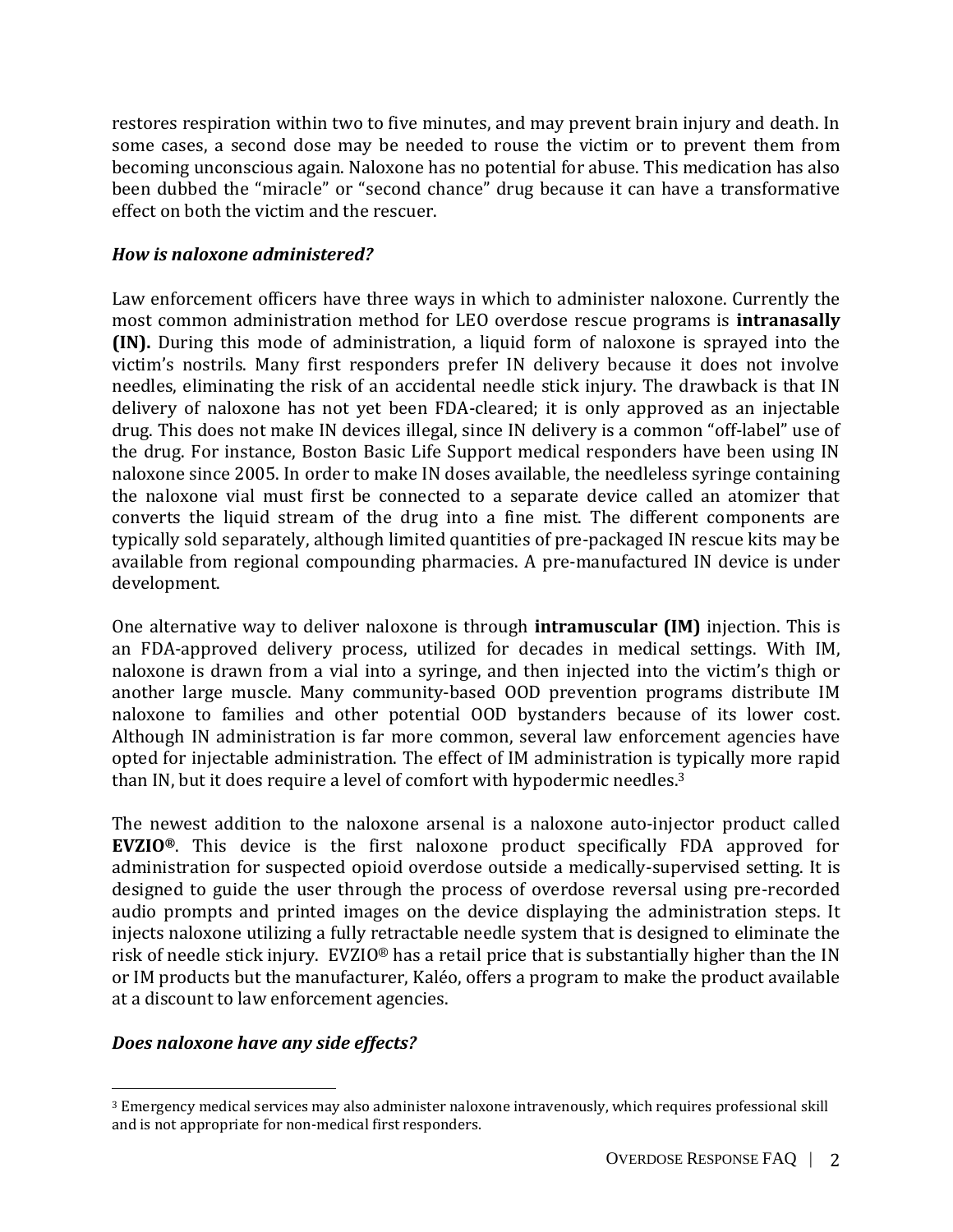restores respiration within two to five minutes, and may prevent brain injury and death. In some cases, a second dose may be needed to rouse the victim or to prevent them from becoming unconscious again. Naloxone has no potential for abuse. This medication has also been dubbed the "miracle" or "second chance" drug because it can have a transformative effect on both the victim and the rescuer.

## <span id="page-2-0"></span>*How is naloxone administered?*

Law enforcement officers have three ways in which to administer naloxone. Currently the most common administration method for LEO overdose rescue programs is **intranasally (IN).** During this mode of administration, a liquid form of naloxone is sprayed into the victim's nostrils. Many first responders prefer IN delivery because it does not involve needles, eliminating the risk of an accidental needle stick injury. The drawback is that IN delivery of naloxone has not yet been FDA-cleared; it is only approved as an injectable drug. This does not make IN devices illegal, since IN delivery is a common "off-label" use of the drug. For instance, Boston Basic Life Support medical responders have been using IN naloxone since 2005. In order to make IN doses available, the needleless syringe containing the naloxone vial must first be connected to a separate device called an atomizer that converts the liquid stream of the drug into a fine mist. The different components are typically sold separately, although limited quantities of pre-packaged IN rescue kits may be available from regional compounding pharmacies. A pre-manufactured IN device is under development.

One alternative way to deliver naloxone is through **intramuscular (IM)** injection. This is an FDA-approved delivery process, utilized for decades in medical settings. With IM, naloxone is drawn from a vial into a syringe, and then injected into the victim's thigh or another large muscle. Many community-based OOD prevention programs distribute IM naloxone to families and other potential OOD bystanders because of its lower cost. Although IN administration is far more common, several law enforcement agencies have opted for injectable administration. The effect of IM administration is typically more rapid than IN, but it does require a level of comfort with hypodermic needles.<sup>3</sup>

The newest addition to the naloxone arsenal is a naloxone auto-injector product called **EVZIO®**. This device is the first naloxone product specifically FDA approved for administration for suspected opioid overdose outside a medically-supervised setting. It is designed to guide the user through the process of overdose reversal using pre-recorded audio prompts and printed images on the device displaying the administration steps. It injects naloxone utilizing a fully retractable needle system that is designed to eliminate the risk of needle stick injury. EVZIO® has a retail price that is substantially higher than the IN or IM products but the manufacturer, Kaléo, offers a program to make the product available at a discount to law enforcement agencies.

# *Does naloxone have any side effects?*

<sup>3</sup> Emergency medical services may also administer naloxone intravenously, which requires professional skill and is not appropriate for non-medical first responders.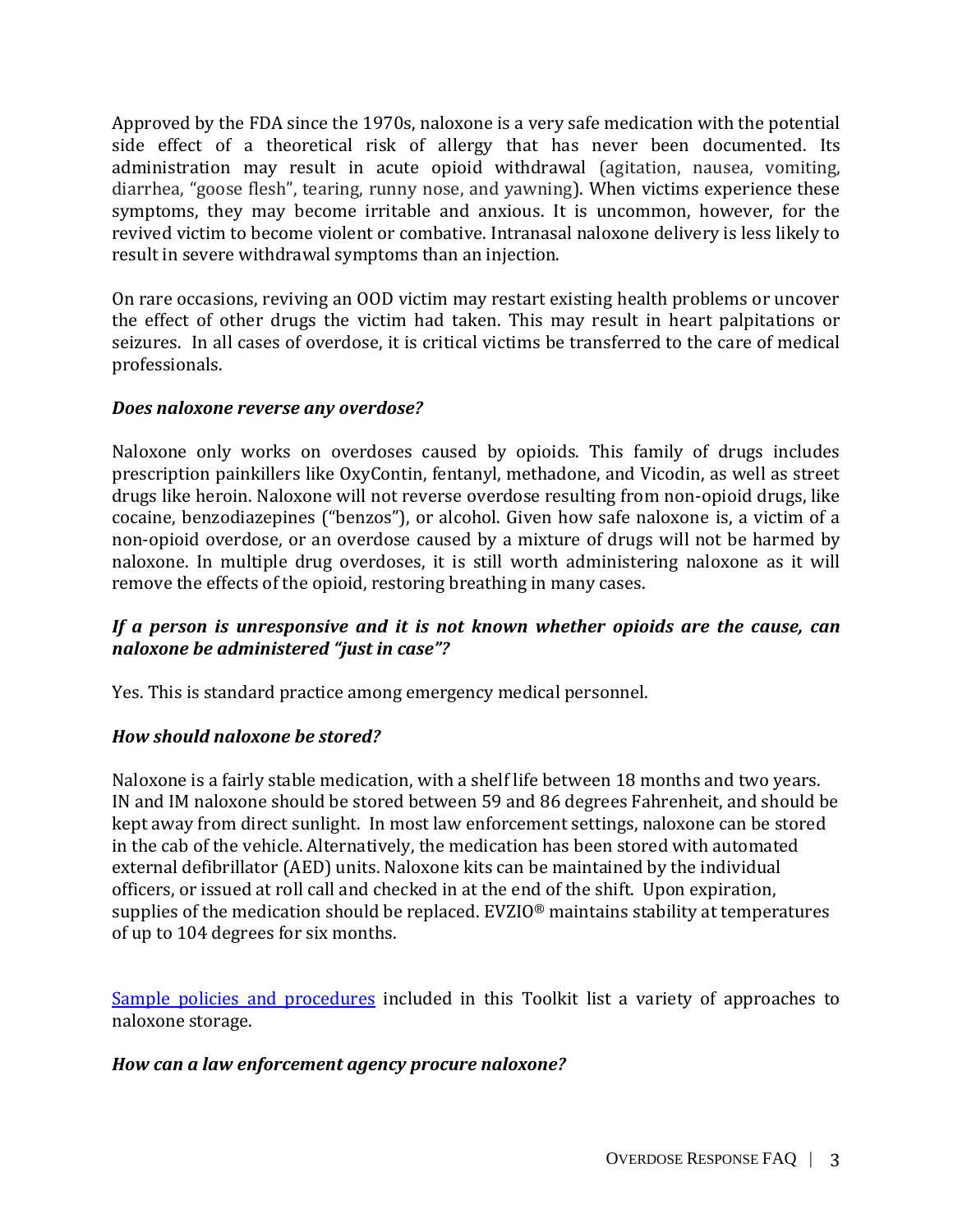Approved by the FDA since the 1970s, naloxone is a very safe medication with the potential side effect of a theoretical risk of allergy that has never been documented. Its administration may result in acute opioid withdrawal (agitation, nausea, vomiting, diarrhea, "goose flesh", tearing, runny nose, and yawning). When victims experience these symptoms, they may become irritable and anxious. It is uncommon, however, for the revived victim to become violent or combative. Intranasal naloxone delivery is less likely to result in severe withdrawal symptoms than an injection.

On rare occasions, reviving an OOD victim may restart existing health problems or uncover the effect of other drugs the victim had taken. This may result in heart palpitations or seizures. In all cases of overdose, it is critical victims be transferred to the care of medical professionals.

## *Does naloxone reverse any overdose?*

Naloxone only works on overdoses caused by opioids. This family of drugs includes prescription painkillers like OxyContin, fentanyl, methadone, and Vicodin, as well as street drugs like heroin. Naloxone will not reverse overdose resulting from non-opioid drugs, like cocaine, benzodiazepines ("benzos"), or alcohol. Given how safe naloxone is, a victim of a non-opioid overdose, or an overdose caused by a mixture of drugs will not be harmed by naloxone. In multiple drug overdoses, it is still worth administering naloxone as it will remove the effects of the opioid, restoring breathing in many cases.

# *If a person is unresponsive and it is not known whether opioids are the cause, can naloxone be administered "just in case"?*

Yes. This is standard practice among emergency medical personnel.

## *How should naloxone be stored?*

Naloxone is a fairly stable medication, with a shelf life between 18 months and two years. IN and IM naloxone should be stored between 59 and 86 degrees Fahrenheit, and should be kept away from direct sunlight. In most law enforcement settings, naloxone can be stored in the cab of the vehicle. Alternatively, the medication has been stored with automated external defibrillator (AED) units. Naloxone kits can be maintained by the individual officers, or issued at roll call and checked in at the end of the shift. Upon expiration, supplies of the medication should be replaced. EVZIO® maintains stability at temperatures of up to 104 degrees for six months.

[Sample policies and procedures](https://www.bjatraining.org/naloxone/do-law-enforcement-overdose-response-programs-require-creation-specific-operating) included in this Toolkit list a variety of approaches to naloxone storage.

## *How can a law enforcement agency procure naloxone?*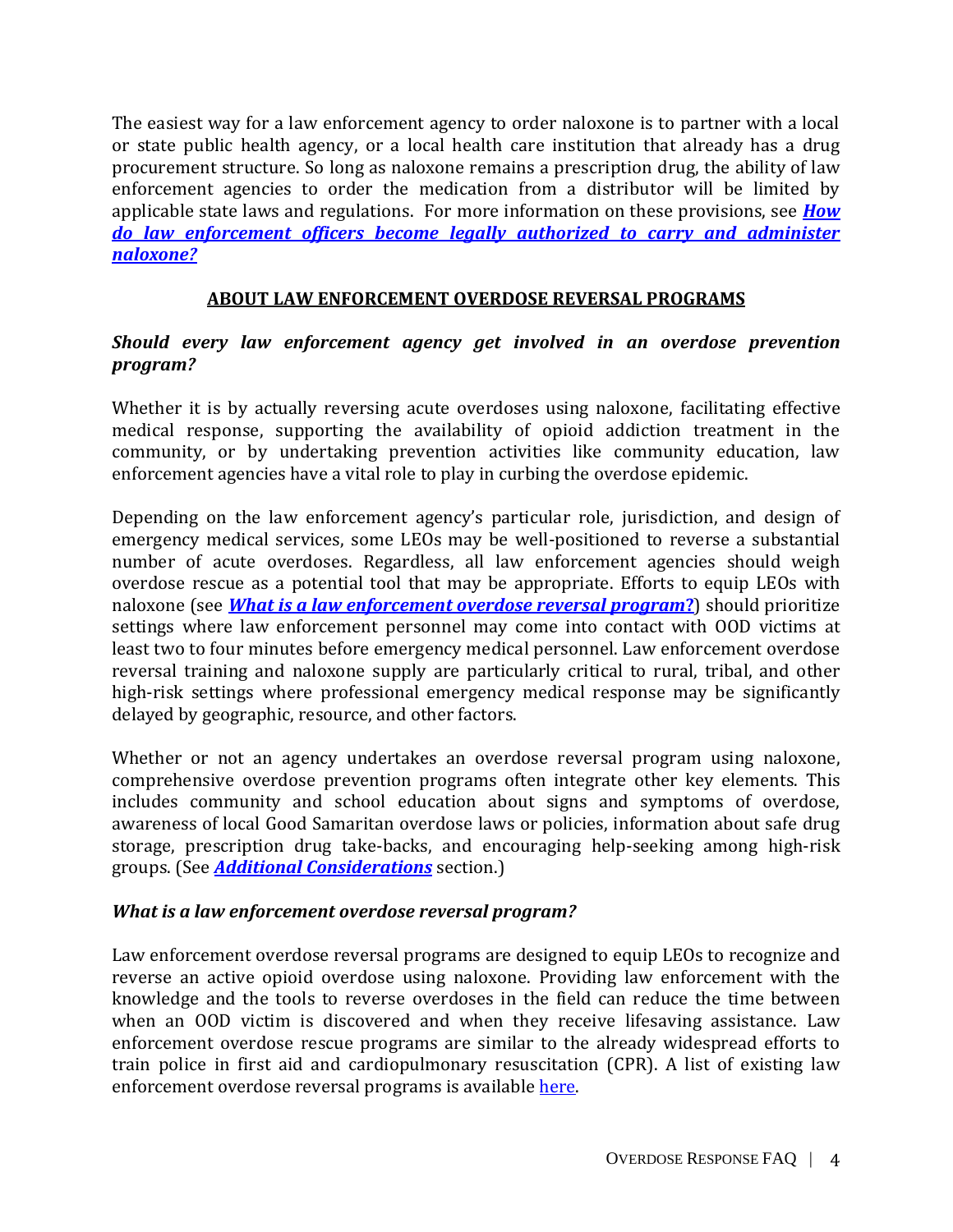The easiest way for a law enforcement agency to order naloxone is to partner with a local or state public health agency, or a local health care institution that already has a drug procurement structure. So long as naloxone remains a prescription drug, the ability of law enforcement agencies to order the medication from a distributor will be limited by applicable state laws and regulations. For more information on these provisions, see *[How](#page-6-0)  [do law enforcement officers become legally authorized to carry and administer](#page-6-0)  [naloxone?](#page-6-0)*

# **ABOUT LAW ENFORCEMENT OVERDOSE REVERSAL PROGRAMS**

# *Should every law enforcement agency get involved in an overdose prevention program?*

Whether it is by actually reversing acute overdoses using naloxone, facilitating effective medical response, supporting the availability of opioid addiction treatment in the community, or by undertaking prevention activities like community education, law enforcement agencies have a vital role to play in curbing the overdose epidemic.

Depending on the law enforcement agency's particular role, jurisdiction, and design of emergency medical services, some LEOs may be well-positioned to reverse a substantial number of acute overdoses. Regardless, all law enforcement agencies should weigh overdose rescue as a potential tool that may be appropriate. Efforts to equip LEOs with naloxone (see *[What is a law enforcement overdose reversal program](#page-4-0)***?**) should prioritize settings where law enforcement personnel may come into contact with OOD victims at least two to four minutes before emergency medical personnel. Law enforcement overdose reversal training and naloxone supply are particularly critical to rural, tribal, and other high-risk settings where professional emergency medical response may be significantly delayed by geographic, resource, and other factors.

Whether or not an agency undertakes an overdose reversal program using naloxone, comprehensive overdose prevention programs often integrate other key elements. This includes community and school education about signs and symptoms of overdose, awareness of local Good Samaritan overdose laws or policies, information about safe drug storage, prescription drug take-backs, and encouraging help-seeking among high-risk groups. (See *Additional [Considerations](#page-13-0)* section.)

## <span id="page-4-0"></span>*What is a law enforcement overdose reversal program?*

Law enforcement overdose reversal programs are designed to equip LEOs to recognize and reverse an active opioid overdose using naloxone. Providing law enforcement with the knowledge and the tools to reverse overdoses in the field can reduce the time between when an OOD victim is discovered and when they receive lifesaving assistance. Law enforcement overdose rescue programs are similar to the already widespread efforts to train police in first aid and cardiopulmonary resuscitation (CPR). A list of existing law enforcement overdose reversal programs is availabl[e here.](http://www.nchrc.org/law-enforcement/us-law-enforcement-who-carry-naloxone/)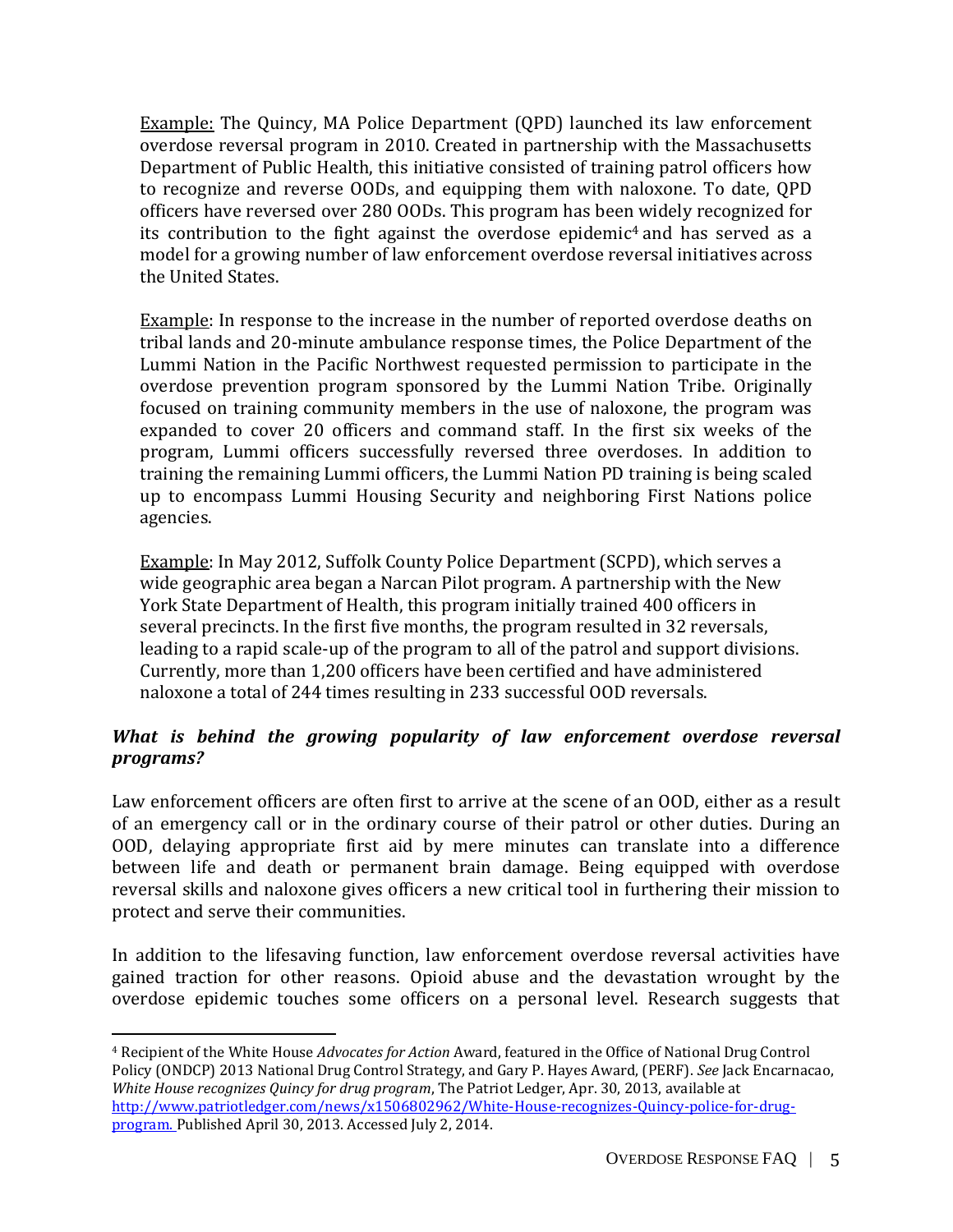Example: The Quincy, MA Police Department (QPD) launched its law enforcement overdose reversal program in 2010. Created in partnership with the Massachusetts Department of Public Health, this initiative consisted of training patrol officers how to recognize and reverse OODs, and equipping them with naloxone. To date, QPD officers have reversed over 280 OODs. This program has been widely recognized for its contribution to the fight against the overdose epidemic<sup>4</sup> and has served as a model for a growing number of law enforcement overdose reversal initiatives across the United States.

Example: In response to the increase in the number of reported overdose deaths on tribal lands and 20-minute ambulance response times, the Police Department of the Lummi Nation in the Pacific Northwest requested permission to participate in the overdose prevention program sponsored by the Lummi Nation Tribe. Originally focused on training community members in the use of naloxone, the program was expanded to cover 20 officers and command staff. In the first six weeks of the program, Lummi officers successfully reversed three overdoses. In addition to training the remaining Lummi officers, the Lummi Nation PD training is being scaled up to encompass Lummi Housing Security and neighboring First Nations police agencies.

Example: In May 2012, Suffolk County Police Department (SCPD), which serves a wide geographic area began a Narcan Pilot program. A partnership with the New York State Department of Health, this program initially trained 400 officers in several precincts. In the first five months, the program resulted in 32 reversals, leading to a rapid scale-up of the program to all of the patrol and support divisions. Currently, more than 1,200 officers have been certified and have administered naloxone a total of 244 times resulting in 233 successful OOD reversals.

# *What is behind the growing popularity of law enforcement overdose reversal programs?*

Law enforcement officers are often first to arrive at the scene of an OOD, either as a result of an emergency call or in the ordinary course of their patrol or other duties. During an OOD, delaying appropriate first aid by mere minutes can translate into a difference between life and death or permanent brain damage. Being equipped with overdose reversal skills and naloxone gives officers a new critical tool in furthering their mission to protect and serve their communities.

In addition to the lifesaving function, law enforcement overdose reversal activities have gained traction for other reasons. Opioid abuse and the devastation wrought by the overdose epidemic touches some officers on a personal level. Research suggests that

l

<sup>4</sup> Recipient of the White House *Advocates for Action* Award, featured in the Office of National Drug Control Policy (ONDCP) 2013 National Drug Control Strategy, and Gary P. Hayes Award, (PERF). *See* Jack Encarnacao, *White House recognizes Quincy for drug program*, The Patriot Ledger, Apr. 30, 2013, available at [http://www.patriotledger.com/news/x1506802962/White-House-recognizes-Quincy-police-for-drug](http://www.patriotledger.com/news/x1506802962/White-House-recognizes-Quincy-police-for-drug-program)[program.](http://www.patriotledger.com/news/x1506802962/White-House-recognizes-Quincy-police-for-drug-program) Published April 30, 2013. Accessed July 2, 2014.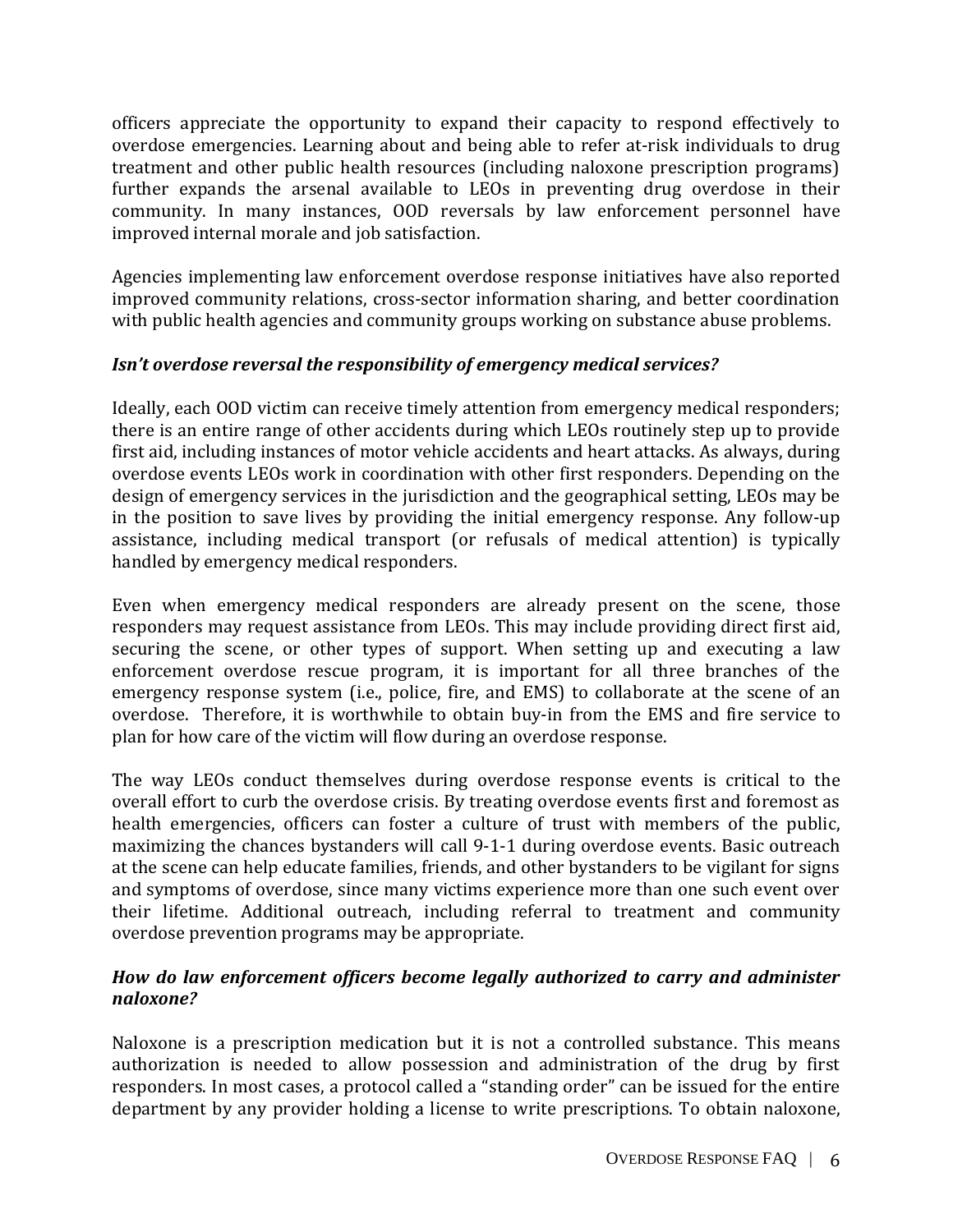officers appreciate the opportunity to expand their capacity to respond effectively to overdose emergencies. Learning about and being able to refer at-risk individuals to drug treatment and other public health resources (including naloxone prescription programs) further expands the arsenal available to LEOs in preventing drug overdose in their community. In many instances, OOD reversals by law enforcement personnel have improved internal morale and job satisfaction.

Agencies implementing law enforcement overdose response initiatives have also reported improved community relations, cross-sector information sharing, and better coordination with public health agencies and community groups working on substance abuse problems.

# *Isn't overdose reversal the responsibility of emergency medical services?*

Ideally, each OOD victim can receive timely attention from emergency medical responders; there is an entire range of other accidents during which LEOs routinely step up to provide first aid, including instances of motor vehicle accidents and heart attacks. As always, during overdose events LEOs work in coordination with other first responders. Depending on the design of emergency services in the jurisdiction and the geographical setting, LEOs may be in the position to save lives by providing the initial emergency response. Any follow-up assistance, including medical transport (or refusals of medical attention) is typically handled by emergency medical responders.

Even when emergency medical responders are already present on the scene, those responders may request assistance from LEOs. This may include providing direct first aid, securing the scene, or other types of support. When setting up and executing a law enforcement overdose rescue program, it is important for all three branches of the emergency response system (i.e., police, fire, and EMS) to collaborate at the scene of an overdose. Therefore, it is worthwhile to obtain buy-in from the EMS and fire service to plan for how care of the victim will flow during an overdose response.

The way LEOs conduct themselves during overdose response events is critical to the overall effort to curb the overdose crisis. By treating overdose events first and foremost as health emergencies, officers can foster a culture of trust with members of the public, maximizing the chances bystanders will call 9-1-1 during overdose events. Basic outreach at the scene can help educate families, friends, and other bystanders to be vigilant for signs and symptoms of overdose, since many victims experience more than one such event over their lifetime. Additional outreach, including referral to treatment and community overdose prevention programs may be appropriate.

# <span id="page-6-0"></span>*How do law enforcement officers become legally authorized to carry and administer naloxone?*

Naloxone is a prescription medication but it is not a controlled substance. This means authorization is needed to allow possession and administration of the drug by first responders. In most cases, a protocol called a "standing order" can be issued for the entire department by any provider holding a license to write prescriptions. To obtain naloxone,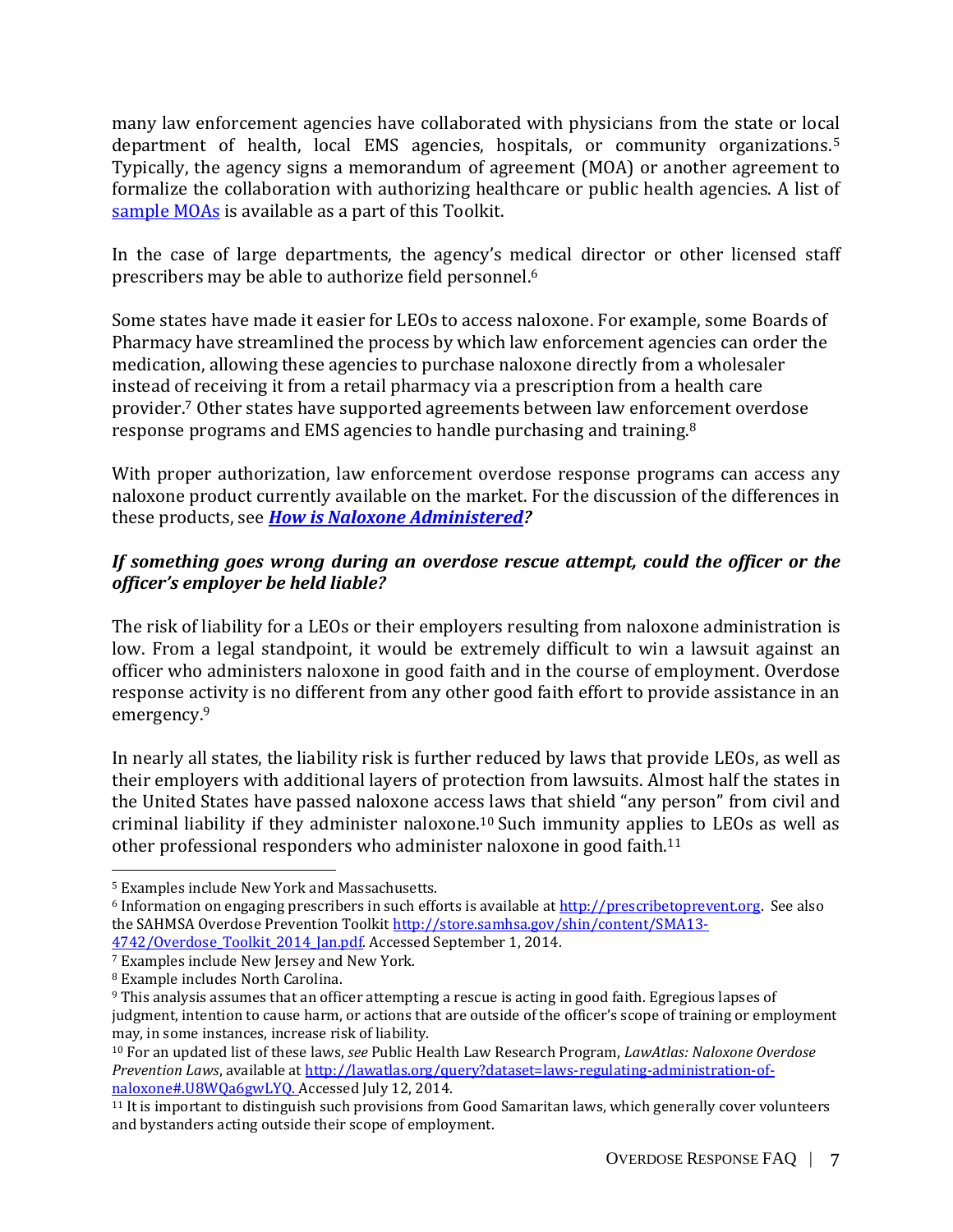many law enforcement agencies have collaborated with physicians from the state or local department of health, local EMS agencies, hospitals, or community organizations. 5 Typically, the agency signs a memorandum of agreement (MOA) or another agreement to formalize the collaboration with authorizing healthcare or public health agencies. A list of [sample MOAs](https://www.bjatraining.org/naloxone/what-are-some-sample-memorandums-understanding-other-agencies-have-used-formalize) is available as a part of this Toolkit.

In the case of large departments, the agency's medical director or other licensed staff prescribers may be able to authorize field personnel.<sup>6</sup>

Some states have made it easier for LEOs to access naloxone. For example, some Boards of Pharmacy have streamlined the process by which law enforcement agencies can order the medication, allowing these agencies to purchase naloxone directly from a wholesaler instead of receiving it from a retail pharmacy via a prescription from a health care provider.<sup>7</sup> Other states have supported agreements between law enforcement overdose response programs and EMS agencies to handle purchasing and training.<sup>8</sup>

With proper authorization, law enforcement overdose response programs can access any naloxone product currently available on the market. For the discussion of the differences in these products, see *[How is Naloxone Administered?](#page-2-0)* 

# *If something goes wrong during an overdose rescue attempt, could the officer or the officer's employer be held liable?*

The risk of liability for a LEOs or their employers resulting from naloxone administration is low. From a legal standpoint, it would be extremely difficult to win a lawsuit against an officer who administers naloxone in good faith and in the course of employment. Overdose response activity is no different from any other good faith effort to provide assistance in an emergency.<sup>9</sup>

In nearly all states, the liability risk is further reduced by laws that provide LEOs, as well as their employers with additional layers of protection from lawsuits. Almost half the states in the United States have passed naloxone access laws that shield "any person" from civil and criminal liability if they administer naloxone. <sup>10</sup> Such immunity applies to LEOs as well as other professional responders who administer naloxone in good faith.<sup>11</sup>

<sup>5</sup> Examples include New York and Massachusetts.

<sup>&</sup>lt;sup>6</sup> Information on engaging prescribers in such efforts is available a[t http://prescribetoprevent.org.](http://prescribetoprevent.org/) See also the SAHMSA Overdose Prevention Toolki[t http://store.samhsa.gov/shin/content/SMA13-](http://store.samhsa.gov/shin/content/SMA13-4742/Overdose_Toolkit_2014_Jan.pdf) 4742/Overdose Toolkit 2014 Jan.pdf. Accessed September 1, 2014.

<sup>7</sup> Examples include New Jersey and New York.

<sup>8</sup> Example includes North Carolina.

<sup>9</sup> This analysis assumes that an officer attempting a rescue is acting in good faith. Egregious lapses of judgment, intention to cause harm, or actions that are outside of the officer's scope of training or employment may, in some instances, increase risk of liability.

<sup>10</sup> For an updated list of these laws, *see* Public Health Law Research Program, *LawAtlas: Naloxone Overdose Prevention Laws*, available at [http://lawatlas.org/query?dataset=laws-regulating-administration-of](http://lawatlas.org/query?dataset=laws-regulating-administration-of-naloxone#.U8WQa6gwLYQ)[naloxone#.U8WQa6gwLYQ.](http://lawatlas.org/query?dataset=laws-regulating-administration-of-naloxone#.U8WQa6gwLYQ) Accessed July 12, 2014.

<sup>11</sup> It is important to distinguish such provisions from Good Samaritan laws, which generally cover volunteers and bystanders acting outside their scope of employment.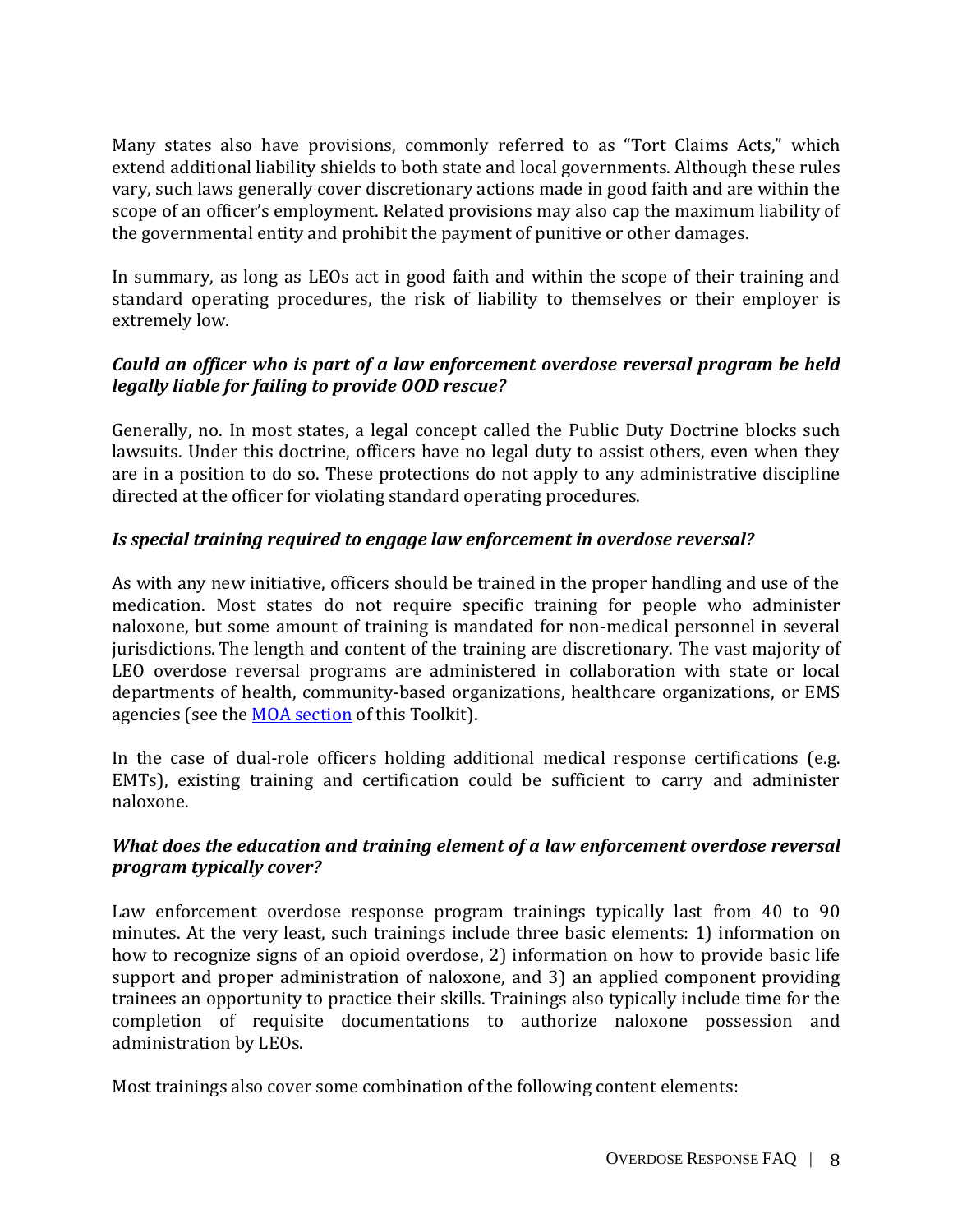Many states also have provisions, commonly referred to as "Tort Claims Acts," which extend additional liability shields to both state and local governments. Although these rules vary, such laws generally cover discretionary actions made in good faith and are within the scope of an officer's employment. Related provisions may also cap the maximum liability of the governmental entity and prohibit the payment of punitive or other damages.

In summary, as long as LEOs act in good faith and within the scope of their training and standard operating procedures, the risk of liability to themselves or their employer is extremely low.

# *Could an officer who is part of a law enforcement overdose reversal program be held legally liable for failing to provide OOD rescue?*

Generally, no. In most states, a legal concept called the Public Duty Doctrine blocks such lawsuits. Under this doctrine, officers have no legal duty to assist others, even when they are in a position to do so. These protections do not apply to any administrative discipline directed at the officer for violating standard operating procedures.

# *Is special training required to engage law enforcement in overdose reversal?*

As with any new initiative, officers should be trained in the proper handling and use of the medication. Most states do not require specific training for people who administer naloxone, but some amount of training is mandated for non-medical personnel in several jurisdictions. The length and content of the training are discretionary. The vast majority of LEO overdose reversal programs are administered in collaboration with state or local departments of health, community-based organizations, healthcare organizations, or EMS agencies (see the **MOA** [section](https://www.bjatraining.org/naloxone/what-are-some-sample-memorandums-understanding-other-agencies-have-used-formalize) of this Toolkit).

In the case of dual-role officers holding additional medical response certifications (e.g. EMTs), existing training and certification could be sufficient to carry and administer naloxone.

# *What does the education and training element of a law enforcement overdose reversal program typically cover?*

Law enforcement overdose response program trainings typically last from 40 to 90 minutes. At the very least, such trainings include three basic elements: 1) information on how to recognize signs of an opioid overdose, 2) information on how to provide basic life support and proper administration of naloxone, and 3) an applied component providing trainees an opportunity to practice their skills. Trainings also typically include time for the completion of requisite documentations to authorize naloxone possession and administration by LEOs.

Most trainings also cover some combination of the following content elements: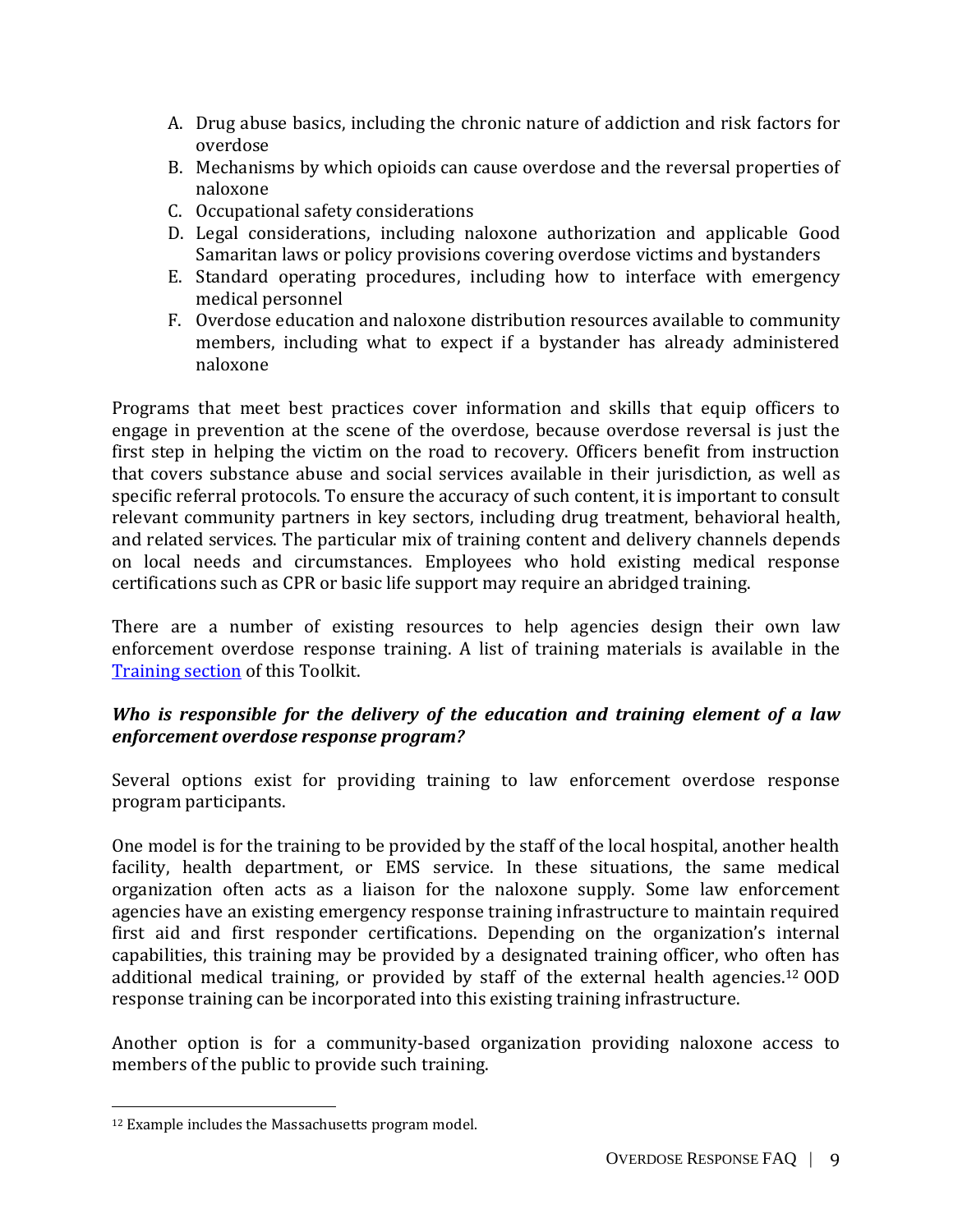- A. Drug abuse basics, including the chronic nature of addiction and risk factors for overdose
- B. Mechanisms by which opioids can cause overdose and the reversal properties of naloxone
- C. Occupational safety considerations
- D. Legal considerations, including naloxone authorization and applicable Good Samaritan laws or policy provisions covering overdose victims and bystanders
- E. Standard operating procedures, including how to interface with emergency medical personnel
- F. Overdose education and naloxone distribution resources available to community members, including what to expect if a bystander has already administered naloxone

Programs that meet best practices cover information and skills that equip officers to engage in prevention at the scene of the overdose, because overdose reversal is just the first step in helping the victim on the road to recovery. Officers benefit from instruction that covers substance abuse and social services available in their jurisdiction, as well as specific referral protocols. To ensure the accuracy of such content, it is important to consult relevant community partners in key sectors, including drug treatment, behavioral health, and related services. The particular mix of training content and delivery channels depends on local needs and circumstances. Employees who hold existing medical response certifications such as CPR or basic life support may require an abridged training.

There are a number of existing resources to help agencies design their own law enforcement overdose response training. A list of training materials is available in the [Training section](https://www.bjatraining.org/naloxone/what-does-education-and-training-element-law-enforcement-overdose-reversal-program) of this Toolkit.

# *Who is responsible for the delivery of the education and training element of a law enforcement overdose response program?*

Several options exist for providing training to law enforcement overdose response program participants.

One model is for the training to be provided by the staff of the local hospital, another health facility, health department, or EMS service. In these situations, the same medical organization often acts as a liaison for the naloxone supply. Some law enforcement agencies have an existing emergency response training infrastructure to maintain required first aid and first responder certifications. Depending on the organization's internal capabilities, this training may be provided by a designated training officer, who often has additional medical training, or provided by staff of the external health agencies.<sup>12</sup> OOD response training can be incorporated into this existing training infrastructure.

Another option is for a community-based organization providing naloxone access to members of the public to provide such training.

l

<sup>&</sup>lt;sup>12</sup> Example includes the Massachusetts program model.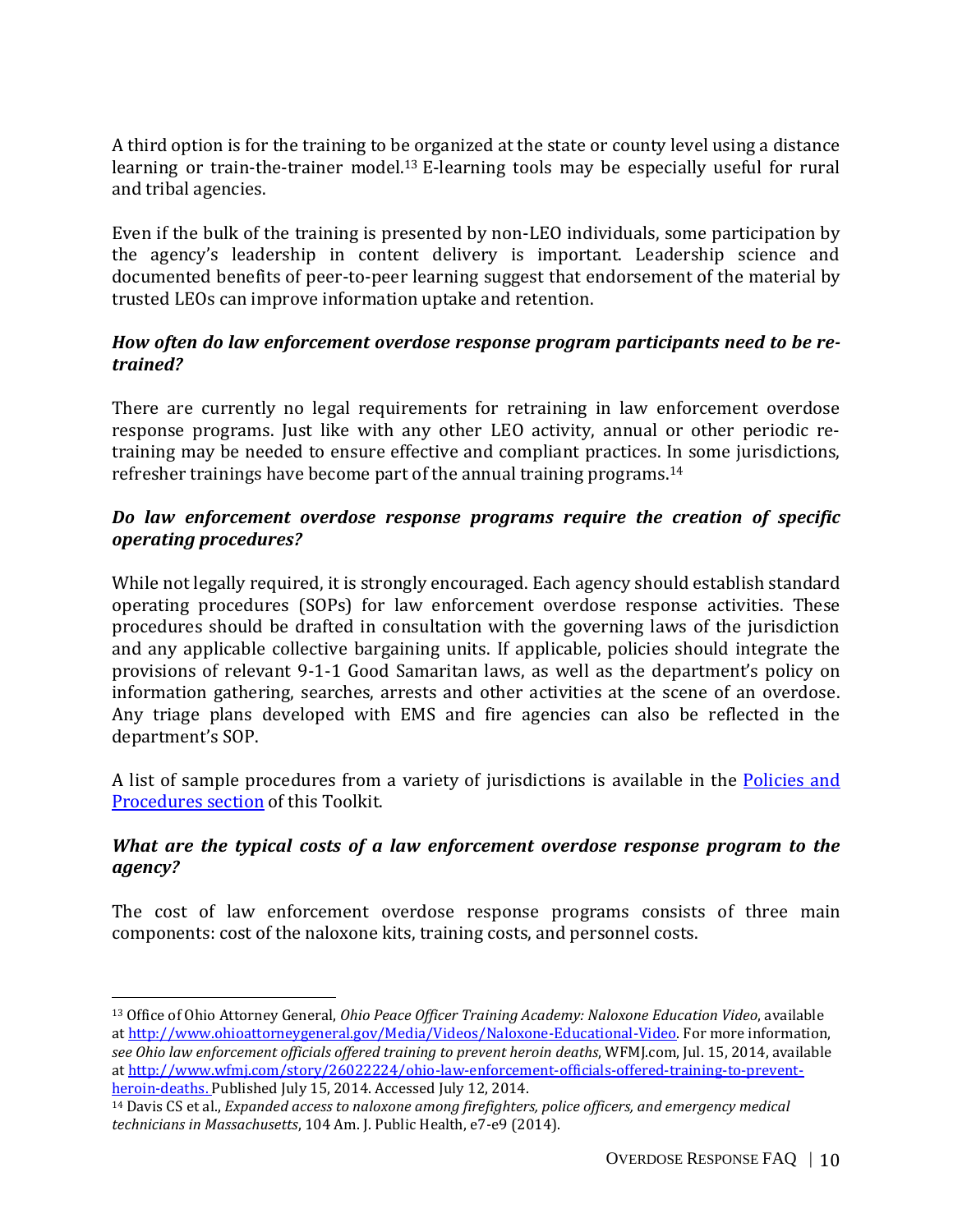A third option is for the training to be organized at the state or county level using a distance learning or train-the-trainer model.<sup>13</sup> E-learning tools may be especially useful for rural and tribal agencies.

Even if the bulk of the training is presented by non-LEO individuals, some participation by the agency's leadership in content delivery is important. Leadership science and documented benefits of peer-to-peer learning suggest that endorsement of the material by trusted LEOs can improve information uptake and retention.

## *How often do law enforcement overdose response program participants need to be retrained?*

There are currently no legal requirements for retraining in law enforcement overdose response programs. Just like with any other LEO activity, annual or other periodic retraining may be needed to ensure effective and compliant practices. In some jurisdictions, refresher trainings have become part of the annual training programs.<sup>14</sup>

# *Do law enforcement overdose response programs require the creation of specific operating procedures?*

While not legally required, it is strongly encouraged. Each agency should establish standard operating procedures (SOPs) for law enforcement overdose response activities. These procedures should be drafted in consultation with the governing laws of the jurisdiction and any applicable collective bargaining units. If applicable, policies should integrate the provisions of relevant 9-1-1 Good Samaritan laws, as well as the department's policy on information gathering, searches, arrests and other activities at the scene of an overdose. Any triage plans developed with EMS and fire agencies can also be reflected in the department's SOP.

A list of sample procedures from a variety of jurisdictions is available in the [Policies and](https://www.bjatraining.org/naloxone/do-law-enforcement-overdose-response-programs-require-creation-specific-operating)  [Procedures section](https://www.bjatraining.org/naloxone/do-law-enforcement-overdose-response-programs-require-creation-specific-operating) of this Toolkit.

## *What are the typical costs of a law enforcement overdose response program to the agency?*

The cost of law enforcement overdose response programs consists of three main components: cost of the naloxone kits, training costs, and personnel costs.

<sup>13</sup> Office of Ohio Attorney General, *Ohio Peace Officer Training Academy: Naloxone Education Video*, available a[t http://www.ohioattorneygeneral.gov/Media/Videos/Naloxone-Educational-Video.](http://www.ohioattorneygeneral.gov/Media/Videos/Naloxone-Educational-Video) For more information, *see Ohio law enforcement officials offered training to prevent heroin deaths*, WFMJ.com, Jul. 15, 2014, available a[t http://www.wfmj.com/story/26022224/ohio-law-enforcement-officials-offered-training-to-prevent](http://www.wfmj.com/story/26022224/ohio-law-enforcement-officials-offered-training-to-prevent-heroin-deaths)[heroin-deaths.](http://www.wfmj.com/story/26022224/ohio-law-enforcement-officials-offered-training-to-prevent-heroin-deaths) Published July 15, 2014. Accessed July 12, 2014.

<sup>14</sup> Davis CS et al., *Expanded access to naloxone among firefighters, police officers, and emergency medical technicians in Massachusetts*, 104 Am. J. Public Health, e7-e9 (2014).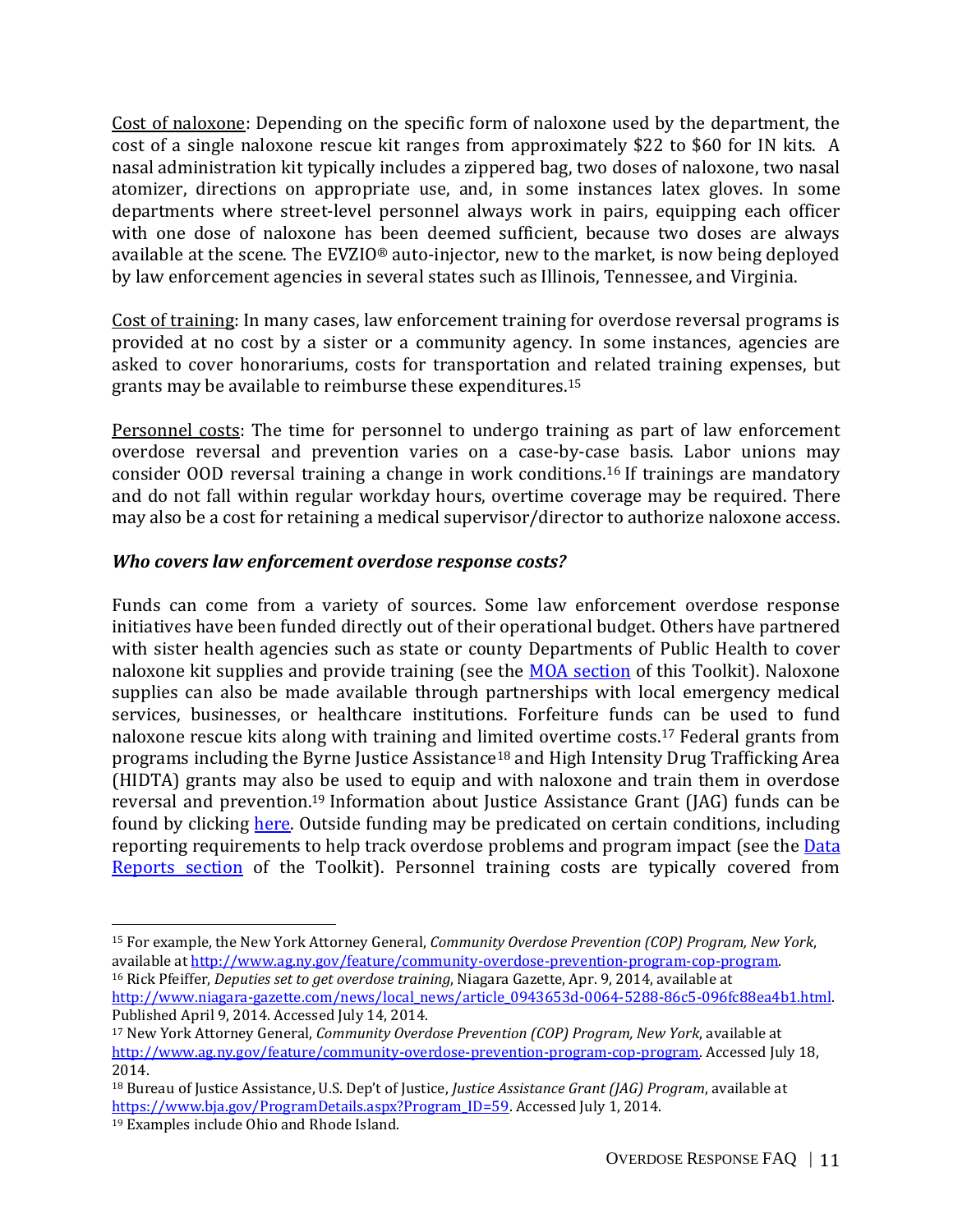Cost of naloxone: Depending on the specific form of naloxone used by the department, the cost of a single naloxone rescue kit ranges from approximately \$22 to \$60 for IN kits. A nasal administration kit typically includes a zippered bag, two doses of naloxone, two nasal atomizer, directions on appropriate use, and, in some instances latex gloves. In some departments where street-level personnel always work in pairs, equipping each officer with one dose of naloxone has been deemed sufficient, because two doses are always available at the scene. The EVZIO® auto-injector, new to the market, is now being deployed by law enforcement agencies in several states such as Illinois, Tennessee, and Virginia.

Cost of training: In many cases, law enforcement training for overdose reversal programs is provided at no cost by a sister or a community agency. In some instances, agencies are asked to cover honorariums, costs for transportation and related training expenses, but grants may be available to reimburse these expenditures. 15

Personnel costs: The time for personnel to undergo training as part of law enforcement overdose reversal and prevention varies on a case-by-case basis. Labor unions may consider OOD reversal training a change in work conditions. <sup>16</sup> If trainings are mandatory and do not fall within regular workday hours, overtime coverage may be required. There may also be a cost for retaining a medical supervisor/director to authorize naloxone access.

# *Who covers law enforcement overdose response costs?*

Funds can come from a variety of sources. Some law enforcement overdose response initiatives have been funded directly out of their operational budget. Others have partnered with sister health agencies such as state or county Departments of Public Health to cover naloxone kit supplies and provide training (see the **MOA section** of this Toolkit). Naloxone supplies can also be made available through partnerships with local emergency medical services, businesses, or healthcare institutions. Forfeiture funds can be used to fund naloxone rescue kits along with training and limited overtime costs. <sup>17</sup> Federal grants from programs including the Byrne Justice Assistance<sup>18</sup> and High Intensity Drug Trafficking Area (HIDTA) grants may also be used to equip and with naloxone and train them in overdose reversal and prevention. <sup>19</sup> Information about Justice Assistance Grant (JAG) funds can be found by clicking [here.](https://www.bja.gov/ProgramDetails.aspx?Program_ID=59#horizontalTab8) Outside funding may be predicated on certain conditions, including reporting requirements to help track overdose problems and program impact (see the Data [Reports section](https://www.bjatraining.org/naloxone/what-types-information-or-data-should-our-law-enforcement-agency-collect-about-our-naloxone) of the Toolkit). Personnel training costs are typically covered from

Published April 9, 2014. Accessed July 14, 2014.

<sup>15</sup> For example, the New York Attorney General, *Community Overdose Prevention (COP) Program, New York*, available at [http://www.ag.ny.gov/feature/community-overdose-prevention-program-cop-program.](http://www.ag.ny.gov/feature/community-overdose-prevention-program-cop-program)  <sup>16</sup> Rick Pfeiffer, *Deputies set to get overdose training*, Niagara Gazette, Apr. 9, 2014, available at http://www.niagara-gazette.com/news/local\_news/article\_0943653d-0064-5288-86c5-096fc88ea4b1.html.

<sup>17</sup> New York Attorney General, *Community Overdose Prevention (COP) Program, New York*, available at [http://www.ag.ny.gov/feature/community-overdose-prevention-program-cop-program.](http://www.ag.ny.gov/feature/community-overdose-prevention-program-cop-program) Accessed July 18, 2014.

<sup>18</sup> Bureau of Justice Assistance, U.S. Dep't of Justice, *Justice Assistance Grant (JAG) Program*, available at [https://www.bja.gov/ProgramDetails.aspx?Program\\_ID=59.](https://www.bja.gov/ProgramDetails.aspx?Program_ID=59) Accessed July 1, 2014.

<sup>19</sup> Examples include Ohio and Rhode Island.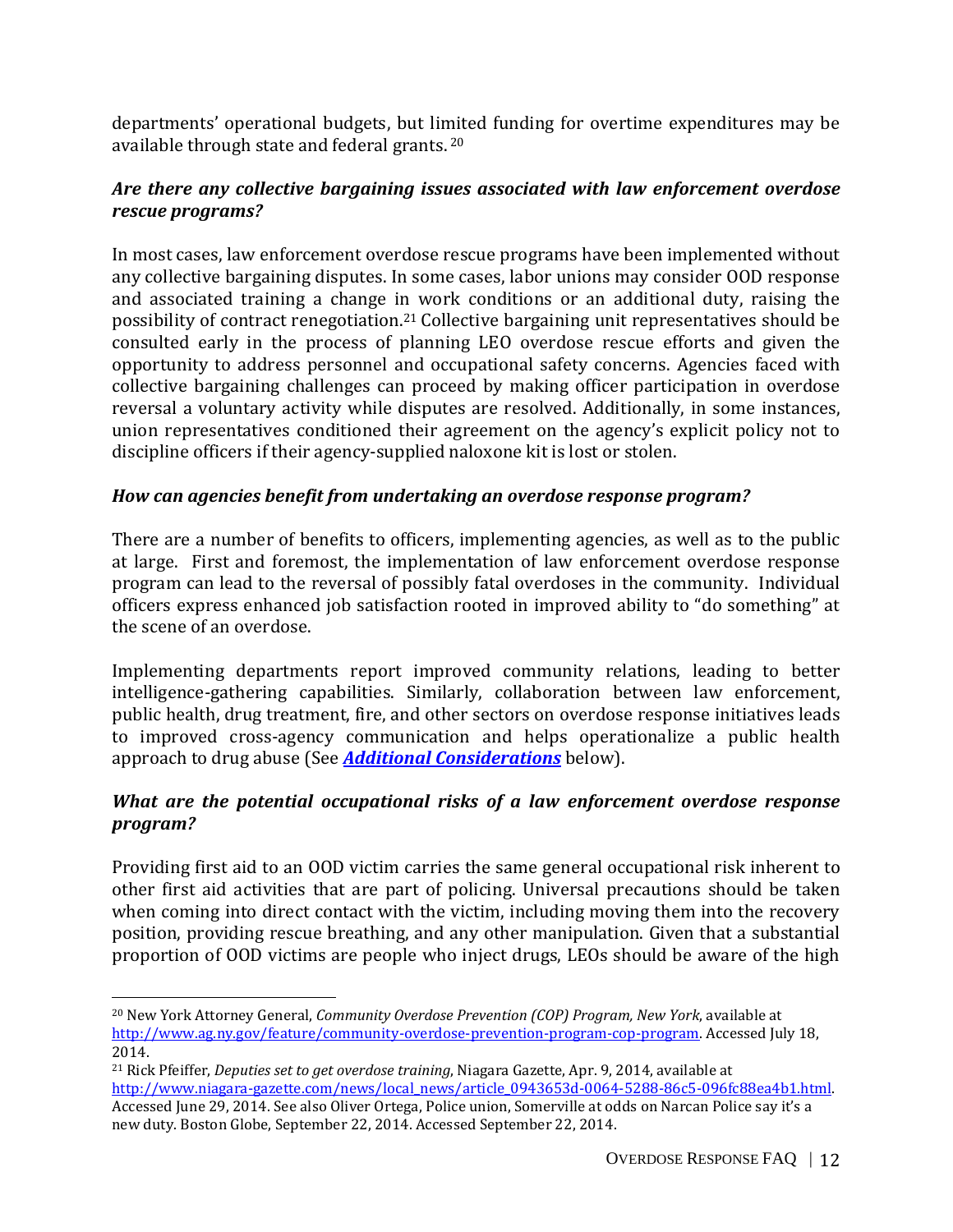departments' operational budgets, but limited funding for overtime expenditures may be available through state and federal grants. 20

# *Are there any collective bargaining issues associated with law enforcement overdose rescue programs?*

In most cases, law enforcement overdose rescue programs have been implemented without any collective bargaining disputes. In some cases, labor unions may consider OOD response and associated training a change in work conditions or an additional duty, raising the possibility of contract renegotiation.<sup>21</sup> Collective bargaining unit representatives should be consulted early in the process of planning LEO overdose rescue efforts and given the opportunity to address personnel and occupational safety concerns. Agencies faced with collective bargaining challenges can proceed by making officer participation in overdose reversal a voluntary activity while disputes are resolved. Additionally, in some instances, union representatives conditioned their agreement on the agency's explicit policy not to discipline officers if their agency-supplied naloxone kit is lost or stolen.

# *How can agencies benefit from undertaking an overdose response program?*

There are a number of benefits to officers, implementing agencies, as well as to the public at large. First and foremost, the implementation of law enforcement overdose response program can lead to the reversal of possibly fatal overdoses in the community. Individual officers express enhanced job satisfaction rooted in improved ability to "do something" at the scene of an overdose.

Implementing departments report improved community relations, leading to better intelligence-gathering capabilities. Similarly, collaboration between law enforcement, public health, drug treatment, fire, and other sectors on overdose response initiatives leads to improved cross-agency communication and helps operationalize a public health approach to drug abuse (See *Additional [Considerations](#page-13-0)* below).

# *What are the potential occupational risks of a law enforcement overdose response program?*

Providing first aid to an OOD victim carries the same general occupational risk inherent to other first aid activities that are part of policing. Universal precautions should be taken when coming into direct contact with the victim, including moving them into the recovery position, providing rescue breathing, and any other manipulation. Given that a substantial proportion of OOD victims are people who inject drugs, LEOs should be aware of the high

new duty. Boston Globe, September 22, 2014. Accessed September 22, 2014.

<sup>20</sup> New York Attorney General, *Community Overdose Prevention (COP) Program, New York*, available at [http://www.ag.ny.gov/feature/community-overdose-prevention-program-cop-program.](http://www.ag.ny.gov/feature/community-overdose-prevention-program-cop-program) Accessed July 18, 2014.

<sup>21</sup> Rick Pfeiffer, *Deputies set to get overdose training*, Niagara Gazette, Apr. 9, 2014, available at http://www.niagara-gazette.com/news/local\_news/article\_0943653d-0064-5288-86c5-096fc88ea4b1.html. Accessed June 29, 2014. See also Oliver Ortega, Police union, Somerville at odds on Narcan Police say it's a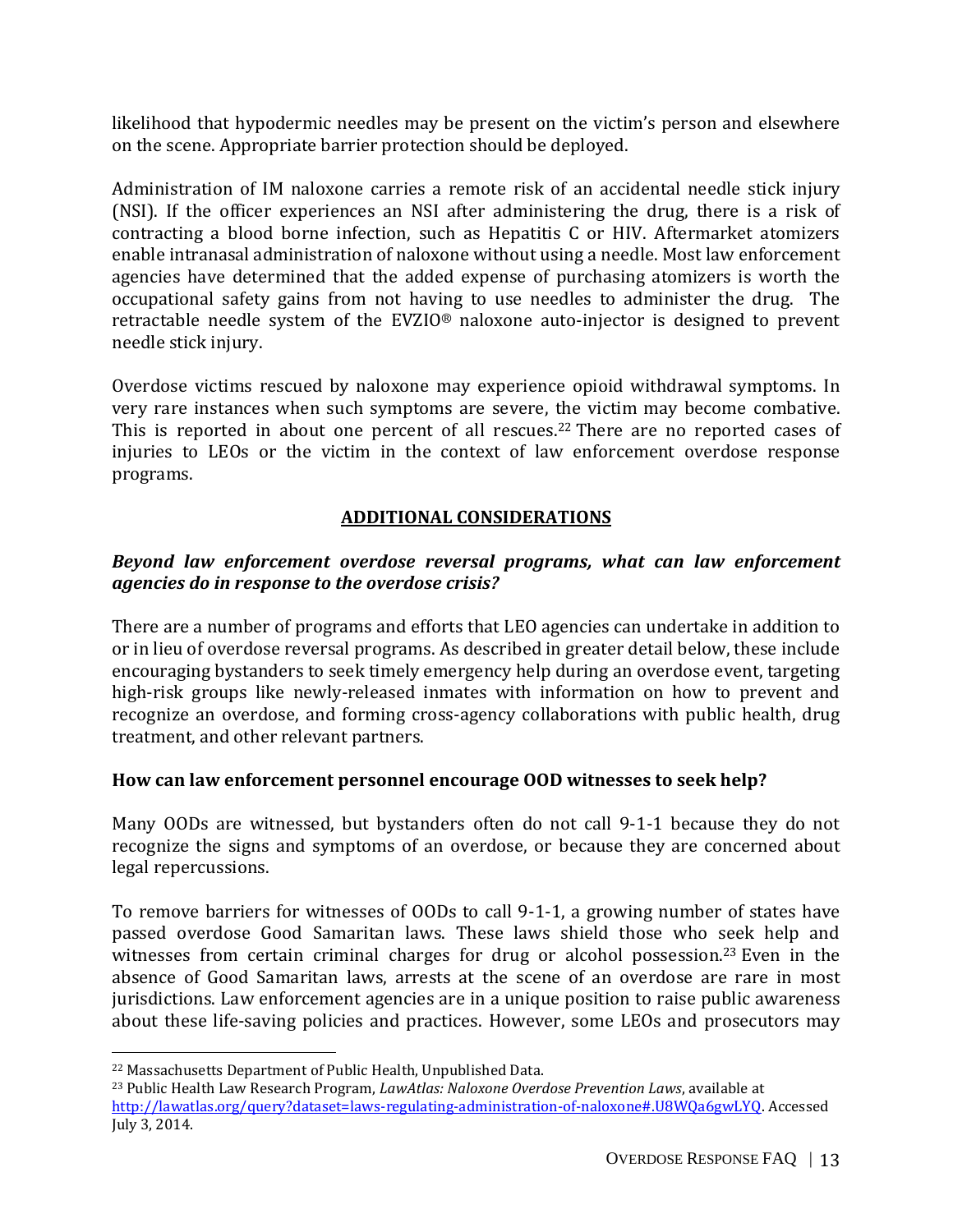likelihood that hypodermic needles may be present on the victim's person and elsewhere on the scene. Appropriate barrier protection should be deployed.

Administration of IM naloxone carries a remote risk of an accidental needle stick injury (NSI). If the officer experiences an NSI after administering the drug, there is a risk of contracting a blood borne infection, such as Hepatitis C or HIV. Aftermarket atomizers enable intranasal administration of naloxone without using a needle. Most law enforcement agencies have determined that the added expense of purchasing atomizers is worth the occupational safety gains from not having to use needles to administer the drug. The retractable needle system of the EVZIO® naloxone auto-injector is designed to prevent needle stick injury.

Overdose victims rescued by naloxone may experience opioid withdrawal symptoms. In very rare instances when such symptoms are severe, the victim may become combative. This is reported in about one percent of all rescues.<sup>22</sup> There are no reported cases of injuries to LEOs or the victim in the context of law enforcement overdose response programs.

# **ADDITIONAL CONSIDERATIONS**

## <span id="page-13-0"></span>*Beyond law enforcement overdose reversal programs, what can law enforcement agencies do in response to the overdose crisis?*

There are a number of programs and efforts that LEO agencies can undertake in addition to or in lieu of overdose reversal programs. As described in greater detail below, these include encouraging bystanders to seek timely emergency help during an overdose event, targeting high-risk groups like newly-released inmates with information on how to prevent and recognize an overdose, and forming cross-agency collaborations with public health, drug treatment, and other relevant partners.

## **How can law enforcement personnel encourage OOD witnesses to seek help?**

Many OODs are witnessed, but bystanders often do not call 9-1-1 because they do not recognize the signs and symptoms of an overdose, or because they are concerned about legal repercussions.

To remove barriers for witnesses of OODs to call 9-1-1, a growing number of states have passed overdose Good Samaritan laws. These laws shield those who seek help and witnesses from certain criminal charges for drug or alcohol possession.<sup>23</sup> Even in the absence of Good Samaritan laws, arrests at the scene of an overdose are rare in most jurisdictions. Law enforcement agencies are in a unique position to raise public awareness about these life-saving policies and practices. However, some LEOs and prosecutors may

<sup>22</sup> Massachusetts Department of Public Health, Unpublished Data.

<sup>23</sup> Public Health Law Research Program, *LawAtlas: Naloxone Overdose Prevention Laws*, available at [http://lawatlas.org/query?dataset=laws-regulating-administration-of-naloxone#.U8WQa6gwLYQ.](http://lawatlas.org/query?dataset=laws-regulating-administration-of-naloxone#.U8WQa6gwLYQ) Accessed July 3, 2014.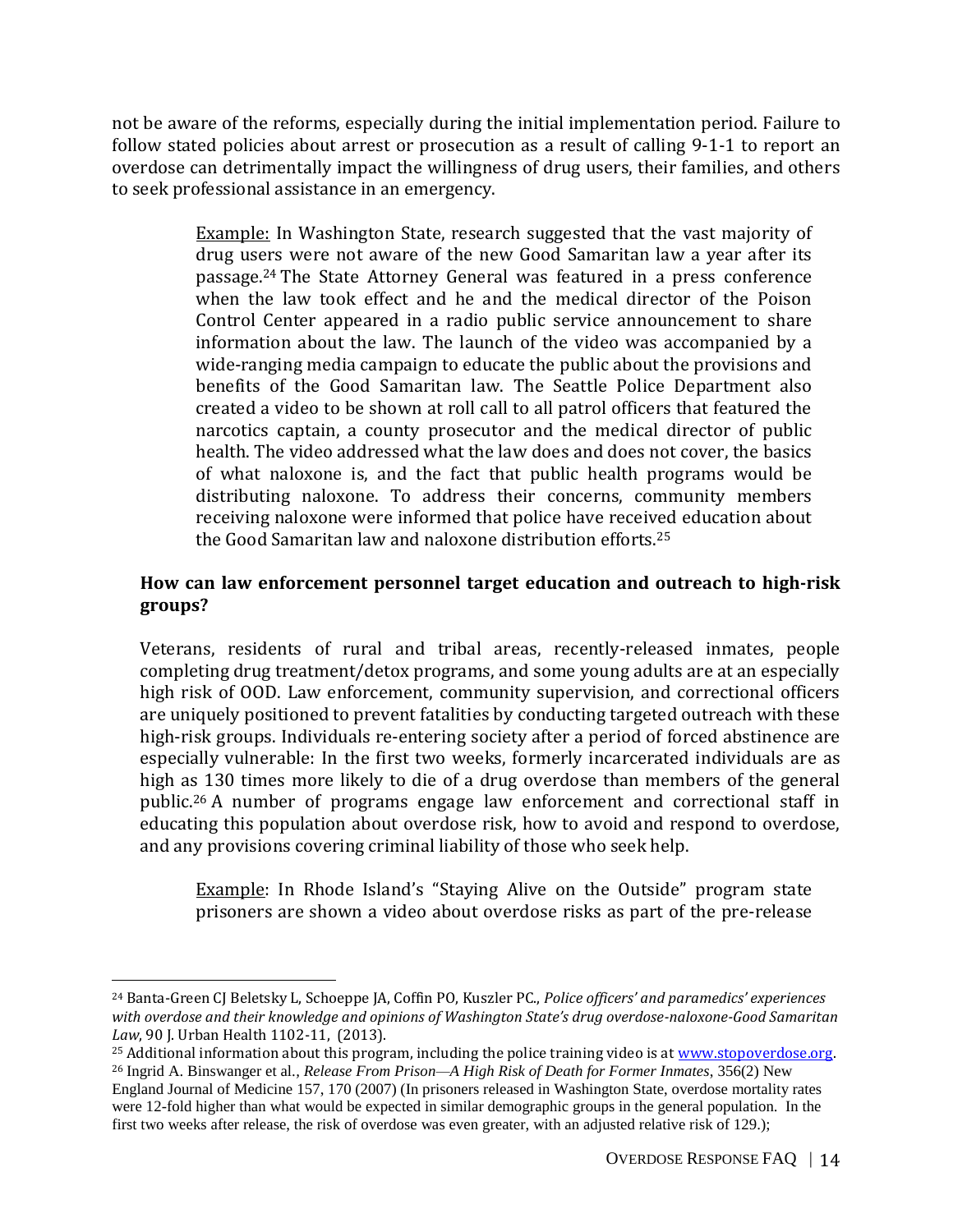not be aware of the reforms, especially during the initial implementation period. Failure to follow stated policies about arrest or prosecution as a result of calling 9-1-1 to report an overdose can detrimentally impact the willingness of drug users, their families, and others to seek professional assistance in an emergency.

> Example: In Washington State, research suggested that the vast majority of drug users were not aware of the new Good Samaritan law a year after its passage.<sup>24</sup> The State Attorney General was featured in a press conference when the law took effect and he and the medical director of the Poison Control Center appeared in a radio public service announcement to share information about the law. The launch of the video was accompanied by a wide-ranging media campaign to educate the public about the provisions and benefits of the Good Samaritan law. The Seattle Police Department also created a video to be shown at roll call to all patrol officers that featured the narcotics captain, a county prosecutor and the medical director of public health. The video addressed what the law does and does not cover, the basics of what naloxone is, and the fact that public health programs would be distributing naloxone. To address their concerns, community members receiving naloxone were informed that police have received education about the Good Samaritan law and naloxone distribution efforts. 25

# **How can law enforcement personnel target education and outreach to high-risk groups?**

Veterans, residents of rural and tribal areas, recently-released inmates, people completing drug treatment/detox programs, and some young adults are at an especially high risk of OOD. Law enforcement, community supervision, and correctional officers are uniquely positioned to prevent fatalities by conducting targeted outreach with these high-risk groups. Individuals re-entering society after a period of forced abstinence are especially vulnerable: In the first two weeks, formerly incarcerated individuals are as high as 130 times more likely to die of a drug overdose than members of the general public. <sup>26</sup> A number of programs engage law enforcement and correctional staff in educating this population about overdose risk, how to avoid and respond to overdose, and any provisions covering criminal liability of those who seek help.

Example: In Rhode Island's "Staying Alive on the Outside" program state prisoners are shown a video about overdose risks as part of the pre-release

<sup>24</sup> Banta-Green CJ Beletsky L, Schoeppe JA, Coffin PO, Kuszler PC., *Police officers' and paramedics' experiences with overdose and their knowledge and opinions of Washington State's drug overdose-naloxone-Good Samaritan Law*, 90 J. Urban Health 1102-11, (2013).

<sup>&</sup>lt;sup>25</sup> Additional information about this program, including the police training video is at [www.stopoverdose.org.](http://www.stopoverdose.org/) <sup>26</sup> Ingrid A. Binswanger et al.*, Release From Prison—A High Risk of Death for Former Inmates*, 356(2) New England Journal of Medicine 157, 170 (2007) (In prisoners released in Washington State, overdose mortality rates

were 12-fold higher than what would be expected in similar demographic groups in the general population. In the first two weeks after release, the risk of overdose was even greater, with an adjusted relative risk of 129.);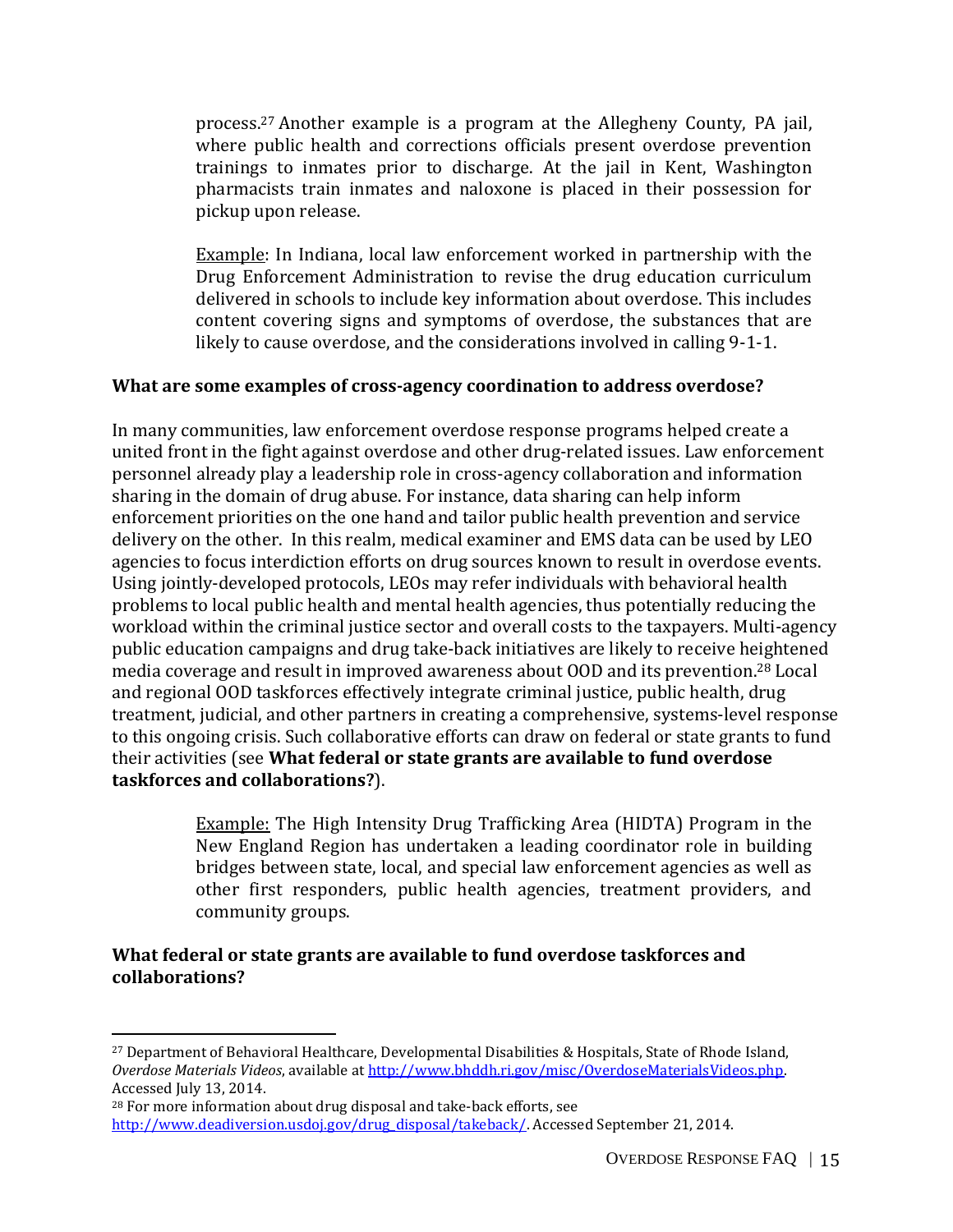process.<sup>27</sup> Another example is a program at the Allegheny County, PA jail, where public health and corrections officials present overdose prevention trainings to inmates prior to discharge. At the jail in Kent, Washington pharmacists train inmates and naloxone is placed in their possession for pickup upon release.

Example: In Indiana, local law enforcement worked in partnership with the Drug Enforcement Administration to revise the drug education curriculum delivered in schools to include key information about overdose. This includes content covering signs and symptoms of overdose, the substances that are likely to cause overdose, and the considerations involved in calling 9-1-1.

#### **What are some examples of cross-agency coordination to address overdose?**

In many communities, law enforcement overdose response programs helped create a united front in the fight against overdose and other drug-related issues. Law enforcement personnel already play a leadership role in cross-agency collaboration and information sharing in the domain of drug abuse. For instance, data sharing can help inform enforcement priorities on the one hand and tailor public health prevention and service delivery on the other. In this realm, medical examiner and EMS data can be used by LEO agencies to focus interdiction efforts on drug sources known to result in overdose events. Using jointly-developed protocols, LEOs may refer individuals with behavioral health problems to local public health and mental health agencies, thus potentially reducing the workload within the criminal justice sector and overall costs to the taxpayers. Multi-agency public education campaigns and drug take-back initiatives are likely to receive heightened media coverage and result in improved awareness about OOD and its prevention. <sup>28</sup> Local and regional OOD taskforces effectively integrate criminal justice, public health, drug treatment, judicial, and other partners in creating a comprehensive, systems-level response to this ongoing crisis. Such collaborative efforts can draw on federal or state grants to fund their activities (see **What federal or state grants are available to fund overdose taskforces and collaborations?**).

> Example: The High Intensity Drug Trafficking Area (HIDTA) Program in the New England Region has undertaken a leading coordinator role in building bridges between state, local, and special law enforcement agencies as well as other first responders, public health agencies, treatment providers, and community groups.

#### **What federal or state grants are available to fund overdose taskforces and collaborations?**

l

<sup>27</sup> Department of Behavioral Healthcare, Developmental Disabilities & Hospitals, State of Rhode Island, *Overdose Materials Videos*, available a[t http://www.bhddh.ri.gov/misc/OverdoseMaterialsVideos.php.](http://www.bhddh.ri.gov/misc/OverdoseMaterialsVideos.php) Accessed July 13, 2014.

<sup>28</sup> For more information about drug disposal and take-back efforts, see [http://www.deadiversion.usdoj.gov/drug\\_disposal/takeback/.](http://www.deadiversion.usdoj.gov/drug_disposal/takeback/) Accessed September 21, 2014.